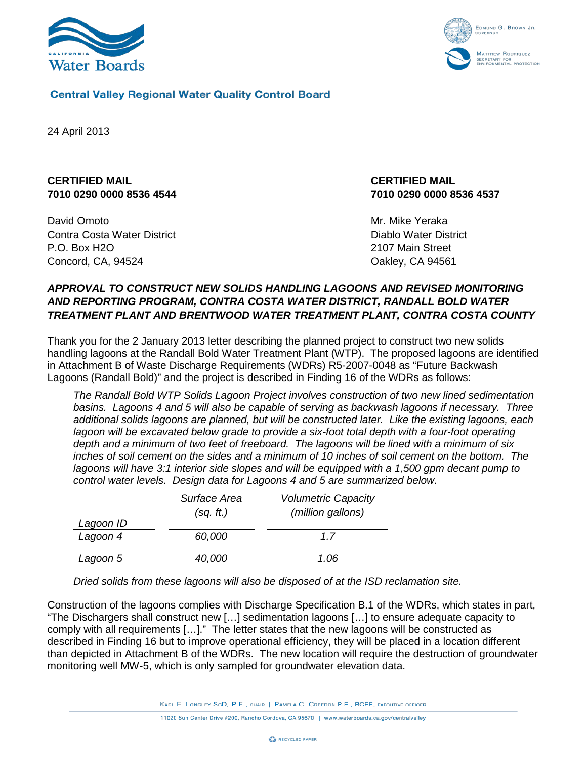



#### **Central Valley Regional Water Quality Control Board**

<span id="page-0-0"></span>24 April 2013

# **CERTIFIED MAIL 7010 0290 0000 8536 4544**

<span id="page-0-1"></span>David Omoto Contra Costa Water District P.O. Box H2O Concord, CA, 94524

### **CERTIFIED MAIL 7010 0290 0000 8536 4537**

Mr. Mike Yeraka Diablo Water District 2107 Main Street Oakley, CA 94561

## *APPROVAL TO CONSTRUCT NEW SOLIDS HANDLING LAGOONS AND REVISED MONITORING AND REPORTING PROGRAM, CONTRA COSTA WATER DISTRICT, RANDALL BOLD WATER TREATMENT PLANT AND BRENTWOOD WATER TREATMENT PLANT, CONTRA COSTA COUNTY*

Thank you for the 2 January 2013 letter describing the planned project to construct two new solids handling lagoons at the Randall Bold Water Treatment Plant (WTP). The proposed lagoons are identified in Attachment B of Waste Discharge Requirements (WDRs) R5-2007-0048 as "Future Backwash Lagoons (Randall Bold)" and the project is described in Finding 16 of the WDRs as follows:

*The Randall Bold WTP Solids Lagoon Project involves construction of two new lined sedimentation basins. Lagoons 4 and 5 will also be capable of serving as backwash lagoons if necessary. Three additional solids lagoons are planned, but will be constructed later. Like the existing lagoons, each*  lagoon will be excavated below grade to provide a six-foot total depth with a four-foot operating *depth and a minimum of two feet of freeboard. The lagoons will be lined with a minimum of six inches of soil cement on the sides and a minimum of 10 inches of soil cement on the bottom. The lagoons will have 3:1 interior side slopes and will be equipped with a 1,500 gpm decant pump to control water levels. Design data for Lagoons 4 and 5 are summarized below.*

|           | Surface Area | <b>Volumetric Capacity</b> |
|-----------|--------------|----------------------------|
| Lagoon ID | (sq. ft.)    | (million gallons)          |
| Lagoon 4  | 60,000       | 1.7                        |
| Lagoon 5  | 40,000       | 1.06                       |

*Dried solids from these lagoons will also be disposed of at the ISD reclamation site.*

Construction of the lagoons complies with Discharge Specification B.1 of the WDRs, which states in part, "The Dischargers shall construct new […] sedimentation lagoons […] to ensure adequate capacity to comply with all requirements […]." The letter states that the new lagoons will be constructed as described in Finding 16 but to improve operational efficiency, they will be placed in a location different than depicted in Attachment B of the WDRs. The new location will require the destruction of groundwater monitoring well MW-5, which is only sampled for groundwater elevation data.

KARL E. LONGLEY SCD, P.E., CHAIR | PAMELA C. CREEDON P.E., BCEE, EXECUTIVE OFFICER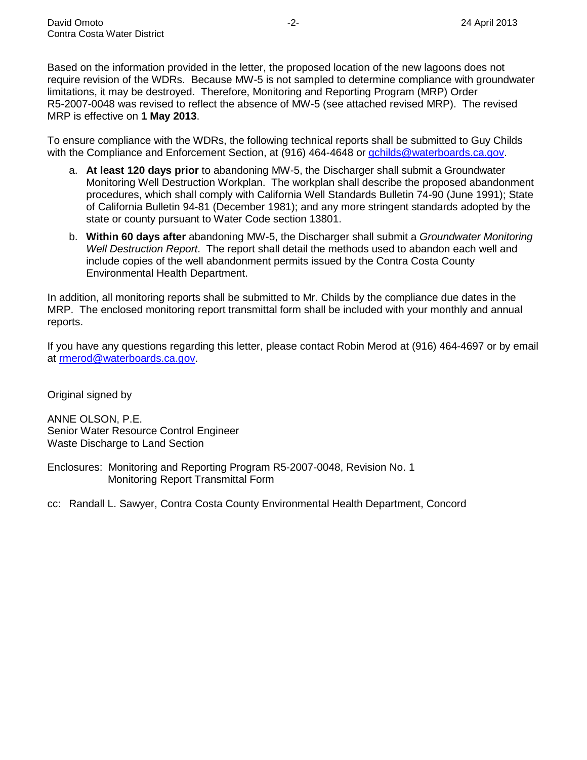Based on the information provided in the letter, the proposed location of the new lagoons does not require revision of the WDRs. Because MW-5 is not sampled to determine compliance with groundwater limitations, it may be destroyed. Therefore, Monitoring and Reporting Program (MRP) Order R5-2007-0048 was revised to reflect the absence of MW-5 (see attached revised MRP). The revised MRP is effective on **1 May 2013**.

To ensure compliance with the WDRs, the following technical reports shall be submitted to Guy Childs with the Compliance and Enforcement Section, at (916) 464-4648 or [gchilds@waterboards.ca.gov.](mailto:gchilds@waterboards.ca.gov)

- a. **At least 120 days prior** to abandoning MW-5, the Discharger shall submit a Groundwater Monitoring Well Destruction Workplan. The workplan shall describe the proposed abandonment procedures, which shall comply with California Well Standards Bulletin 74-90 (June 1991); State of California Bulletin 94-81 (December 1981); and any more stringent standards adopted by the state or county pursuant to Water Code section 13801.
- b. **Within 60 days after** abandoning MW-5, the Discharger shall submit a *Groundwater Monitoring Well Destruction Report*. The report shall detail the methods used to abandon each well and include copies of the well abandonment permits issued by the Contra Costa County Environmental Health Department.

In addition, all monitoring reports shall be submitted to Mr. Childs by the compliance due dates in the MRP. The enclosed monitoring report transmittal form shall be included with your monthly and annual reports.

If you have any questions regarding this letter, please contact Robin Merod at (916) 464-4697 or by email at [rmerod@waterboards.ca.gov.](mailto:rmerod@waterboards.ca.gov)

Original signed by

ANNE OLSON, P.E. Senior Water Resource Control Engineer Waste Discharge to Land Section

Enclosures: Monitoring and Reporting Program R5-2007-0048, Revision No. 1 Monitoring Report Transmittal Form

cc: Randall L. Sawyer, Contra Costa County Environmental Health Department, Concord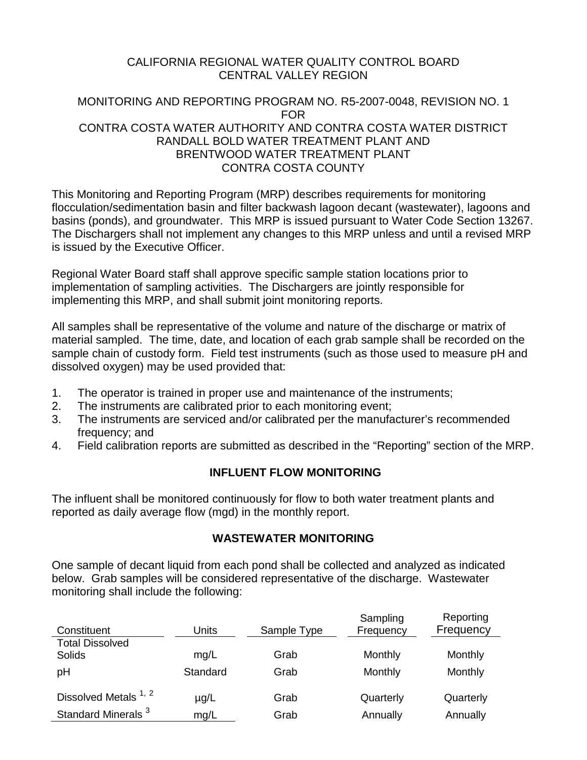# CALIFORNIA REGIONAL WATER QUALITY CONTROL BOARD CENTRAL VALLEY REGION

# MONITORING AND REPORTING PROGRAM NO. R5-2007-0048, REVISION NO. 1 FOR CONTRA COSTA WATER AUTHORITY AND CONTRA COSTA WATER DISTRICT RANDALL BOLD WATER TREATMENT PLANT AND BRENTWOOD WATER TREATMENT PLANT CONTRA COSTA COUNTY

This Monitoring and Reporting Program (MRP) describes requirements for monitoring flocculation/sedimentation basin and filter backwash lagoon decant (wastewater), lagoons and basins (ponds), and groundwater. This MRP is issued pursuant to Water Code Section 13267. The Dischargers shall not implement any changes to this MRP unless and until a revised MRP is issued by the Executive Officer.

Regional Water Board staff shall approve specific sample station locations prior to implementation of sampling activities. The Dischargers are jointly responsible for implementing this MRP, and shall submit joint monitoring reports.

All samples shall be representative of the volume and nature of the discharge or matrix of material sampled. The time, date, and location of each grab sample shall be recorded on the sample chain of custody form. Field test instruments (such as those used to measure pH and dissolved oxygen) may be used provided that:

- 1. The operator is trained in proper use and maintenance of the instruments;
- 2. The instruments are calibrated prior to each monitoring event;
- 3. The instruments are serviced and/or calibrated per the manufacturer's recommended frequency; and
- 4. Field calibration reports are submitted as described in the "Reporting" section of the MRP.

# **INFLUENT FLOW MONITORING**

The influent shall be monitored continuously for flow to both water treatment plants and reported as daily average flow (mgd) in the monthly report.

# **WASTEWATER MONITORING**

One sample of decant liquid from each pond shall be collected and analyzed as indicated below. Grab samples will be considered representative of the discharge. Wastewater monitoring shall include the following:

| Constituent                      | Units     | Sample Type | Sampling<br>Frequency | Reporting<br>Frequency |
|----------------------------------|-----------|-------------|-----------------------|------------------------|
| <b>Total Dissolved</b><br>Solids | mg/L      | Grab        | Monthly               | Monthly                |
| pH                               | Standard  | Grab        | Monthly               | Monthly                |
| Dissolved Metals <sup>1, 2</sup> | $\mu$ g/L | Grab        | Quarterly             | Quarterly              |
| Standard Minerals <sup>3</sup>   | mg/L      | Grab        | Annually              | Annually               |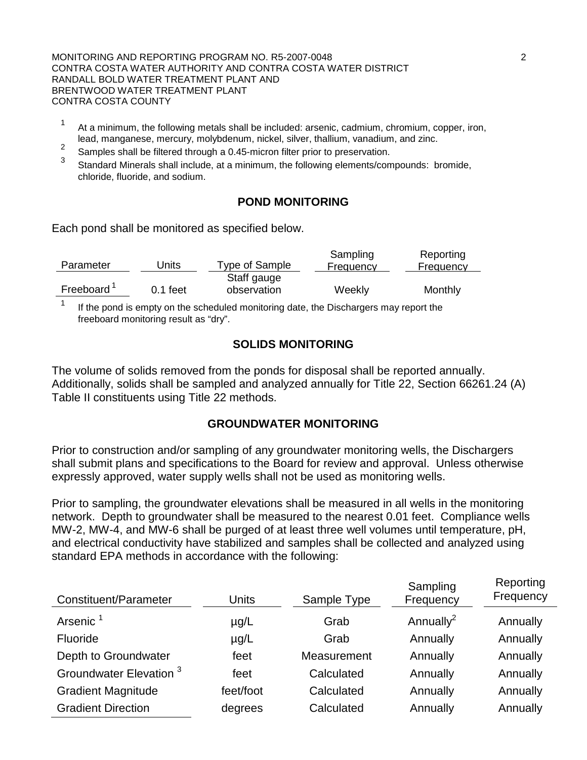MONITORING AND REPORTING PROGRAM NO. R5-2007-0048 2 CONTRA COSTA WATER AUTHORITY AND CONTRA COSTA WATER DISTRICT RANDALL BOLD WATER TREATMENT PLANT AND BRENTWOOD WATER TREATMENT PLANT CONTRA COSTA COUNTY

- <sup>1</sup> At a minimum, the following metals shall be included: arsenic, cadmium, chromium, copper, iron,
- lead, manganese, mercury, molybdenum, nickel, silver, thallium, vanadium, and zinc.<br><sup>2</sup> Samples shall be filtered through a 0.45-micron filter prior to preservation.<br><sup>3</sup> Other hall be the prior to preservation.
- <sup>3</sup> Standard Minerals shall include, at a minimum, the following elements/compounds: bromide, chloride, fluoride, and sodium.

### **POND MONITORING**

Each pond shall be monitored as specified below.

| Parameter | Units      | Type of Sample | Sampling<br>Frequency | Reporting<br>Frequency |
|-----------|------------|----------------|-----------------------|------------------------|
|           |            | Staff gauge    |                       |                        |
| Freeboard | $0.1$ feet | observation    | Weekly                | Monthly                |
|           |            |                |                       |                        |

If the pond is empty on the scheduled monitoring date, the Dischargers may report the freeboard monitoring result as "dry".

### **SOLIDS MONITORING**

The volume of solids removed from the ponds for disposal shall be reported annually. Additionally, solids shall be sampled and analyzed annually for Title 22, Section 66261.24 (A) Table II constituents using Title 22 methods.

### **GROUNDWATER MONITORING**

Prior to construction and/or sampling of any groundwater monitoring wells, the Dischargers shall submit plans and specifications to the Board for review and approval. Unless otherwise expressly approved, water supply wells shall not be used as monitoring wells.

Prior to sampling, the groundwater elevations shall be measured in all wells in the monitoring network. Depth to groundwater shall be measured to the nearest 0.01 feet. Compliance wells MW-2, MW-4, and MW-6 shall be purged of at least three well volumes until temperature, pH, and electrical conductivity have stabilized and samples shall be collected and analyzed using standard EPA methods in accordance with the following:

| Constituent/Parameter              | <b>Units</b> | Sample Type | Sampling<br>Frequency | Reporting<br>Frequency |
|------------------------------------|--------------|-------------|-----------------------|------------------------|
| Arsenic <sup>1</sup>               | $\mu$ g/L    | Grab        | Annually <sup>2</sup> | Annually               |
| Fluoride                           | $\mu$ g/L    | Grab        | Annually              | Annually               |
| Depth to Groundwater               | feet         | Measurement | Annually              | Annually               |
| Groundwater Elevation <sup>3</sup> | feet         | Calculated  | Annually              | Annually               |
| <b>Gradient Magnitude</b>          | feet/foot    | Calculated  | Annually              | Annually               |
| <b>Gradient Direction</b>          | degrees      | Calculated  | Annually              | Annually               |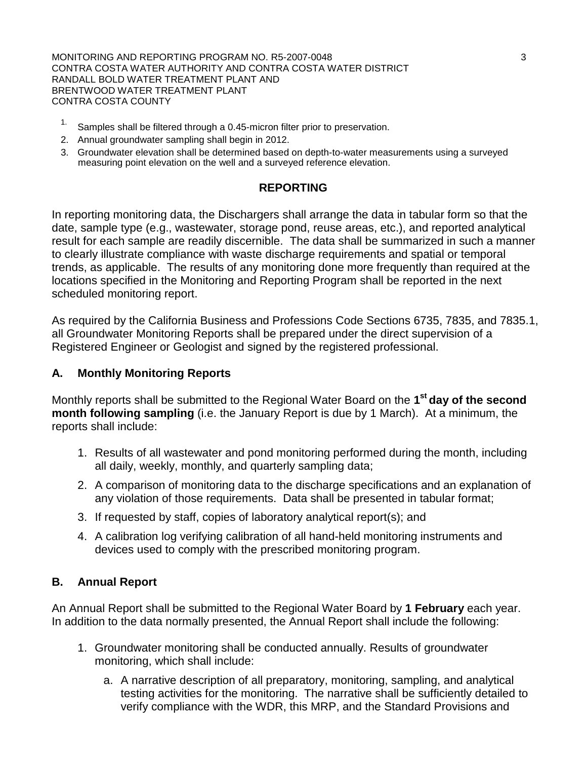MONITORING AND REPORTING PROGRAM NO. R5-2007-0048 3 CONTRA COSTA WATER AUTHORITY AND CONTRA COSTA WATER DISTRICT RANDALL BOLD WATER TREATMENT PLANT AND BRENTWOOD WATER TREATMENT PLANT CONTRA COSTA COUNTY

- <sup>1.</sup> Samples shall be filtered through a 0.45-micron filter prior to preservation.
- 2. Annual groundwater sampling shall begin in 2012.
- 3. Groundwater elevation shall be determined based on depth-to-water measurements using a surveyed measuring point elevation on the well and a surveyed reference elevation.

#### **REPORTING**

In reporting monitoring data, the Dischargers shall arrange the data in tabular form so that the date, sample type (e.g., wastewater, storage pond, reuse areas, etc.), and reported analytical result for each sample are readily discernible. The data shall be summarized in such a manner to clearly illustrate compliance with waste discharge requirements and spatial or temporal trends, as applicable. The results of any monitoring done more frequently than required at the locations specified in the Monitoring and Reporting Program shall be reported in the next scheduled monitoring report.

As required by the California Business and Professions Code Sections 6735, 7835, and 7835.1, all Groundwater Monitoring Reports shall be prepared under the direct supervision of a Registered Engineer or Geologist and signed by the registered professional.

#### **A. Monthly Monitoring Reports**

Monthly reports shall be submitted to the Regional Water Board on the **1st day of the second month following sampling** (i.e. the January Report is due by 1 March). At a minimum, the reports shall include:

- 1. Results of all wastewater and pond monitoring performed during the month, including all daily, weekly, monthly, and quarterly sampling data;
- 2. A comparison of monitoring data to the discharge specifications and an explanation of any violation of those requirements. Data shall be presented in tabular format;
- 3. If requested by staff, copies of laboratory analytical report(s); and
- 4. A calibration log verifying calibration of all hand-held monitoring instruments and devices used to comply with the prescribed monitoring program.

### **B. Annual Report**

An Annual Report shall be submitted to the Regional Water Board by **1 February** each year. In addition to the data normally presented, the Annual Report shall include the following:

- 1. Groundwater monitoring shall be conducted annually. Results of groundwater monitoring, which shall include:
	- a. A narrative description of all preparatory, monitoring, sampling, and analytical testing activities for the monitoring. The narrative shall be sufficiently detailed to verify compliance with the WDR, this MRP, and the Standard Provisions and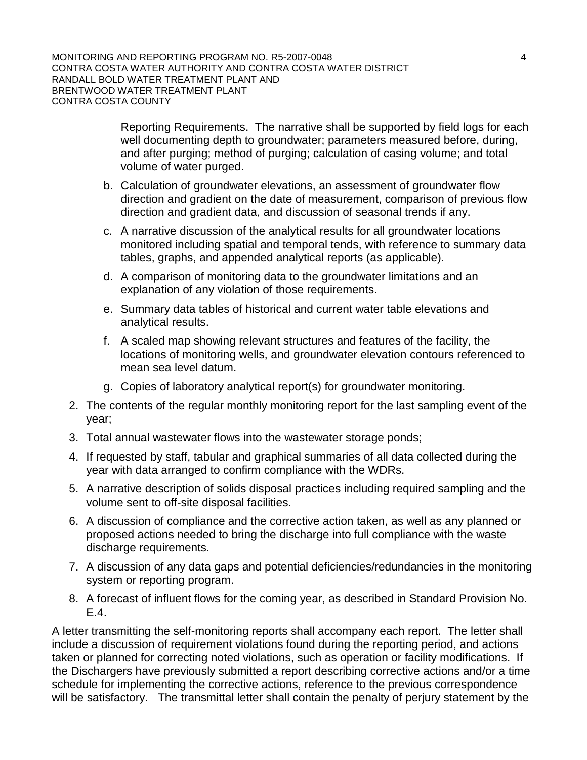Reporting Requirements. The narrative shall be supported by field logs for each well documenting depth to groundwater; parameters measured before, during, and after purging; method of purging; calculation of casing volume; and total volume of water purged.

- b. Calculation of groundwater elevations, an assessment of groundwater flow direction and gradient on the date of measurement, comparison of previous flow direction and gradient data, and discussion of seasonal trends if any.
- c. A narrative discussion of the analytical results for all groundwater locations monitored including spatial and temporal tends, with reference to summary data tables, graphs, and appended analytical reports (as applicable).
- d. A comparison of monitoring data to the groundwater limitations and an explanation of any violation of those requirements.
- e. Summary data tables of historical and current water table elevations and analytical results.
- f. A scaled map showing relevant structures and features of the facility, the locations of monitoring wells, and groundwater elevation contours referenced to mean sea level datum.
- g. Copies of laboratory analytical report(s) for groundwater monitoring.
- 2. The contents of the regular monthly monitoring report for the last sampling event of the year;
- 3. Total annual wastewater flows into the wastewater storage ponds;
- 4. If requested by staff, tabular and graphical summaries of all data collected during the year with data arranged to confirm compliance with the WDRs.
- 5. A narrative description of solids disposal practices including required sampling and the volume sent to off-site disposal facilities.
- 6. A discussion of compliance and the corrective action taken, as well as any planned or proposed actions needed to bring the discharge into full compliance with the waste discharge requirements.
- 7. A discussion of any data gaps and potential deficiencies/redundancies in the monitoring system or reporting program.
- 8. A forecast of influent flows for the coming year, as described in Standard Provision No. E.4.

A letter transmitting the self-monitoring reports shall accompany each report. The letter shall include a discussion of requirement violations found during the reporting period, and actions taken or planned for correcting noted violations, such as operation or facility modifications. If the Dischargers have previously submitted a report describing corrective actions and/or a time schedule for implementing the corrective actions, reference to the previous correspondence will be satisfactory. The transmittal letter shall contain the penalty of perjury statement by the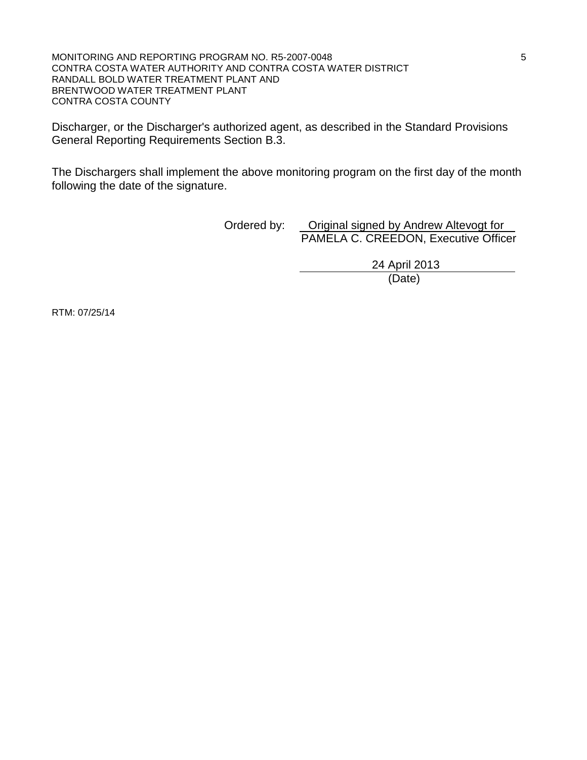MONITORING AND REPORTING PROGRAM NO. R5-2007-0048 5 CONTRA COSTA WATER AUTHORITY AND CONTRA COSTA WATER DISTRICT RANDALL BOLD WATER TREATMENT PLANT AND BRENTWOOD WATER TREATMENT PLANT CONTRA COSTA COUNTY

Discharger, or the Discharger's authorized agent, as described in the Standard Provisions General Reporting Requirements Section B.3.

The Dischargers shall implement the above monitoring program on the first day of the month following the date of the signature.

> Ordered by: Original signed by Andrew Altevogt for PAMELA C. CREEDON, Executive Officer

> > 24 April 2013 (Date)

RTM: 07/25/14